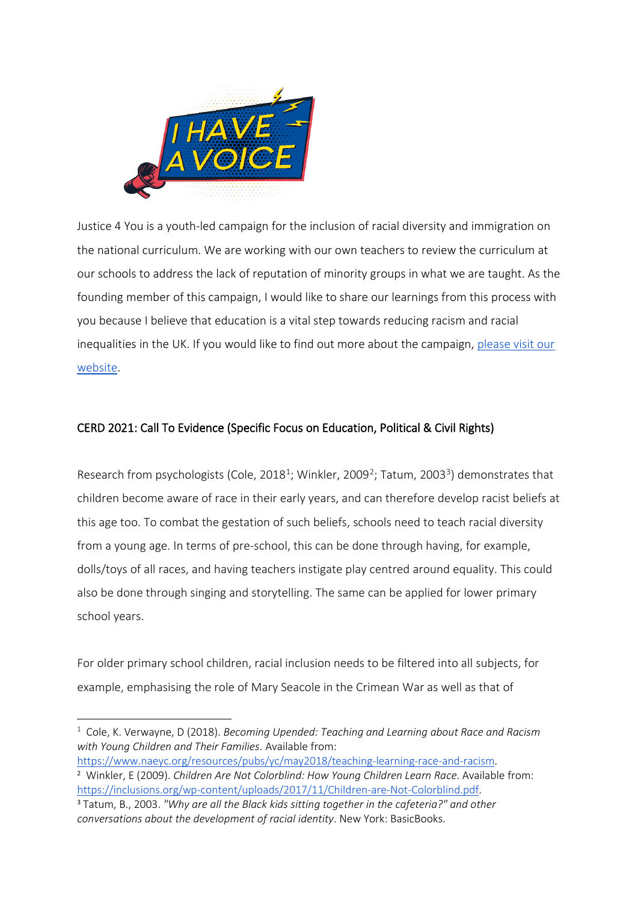

Justice 4 You is a youth-led campaign for the inclusion of racial diversity and immigration on the national curriculum. We are working with our own teachers to review the curriculum at our schools to address the lack of reputation of minority groups in what we are taught. As the founding member of this campaign, I would like to share our learnings from this process with you because I believe that education is a vital step towards reducing racism and racial inequalities in the UK. If you would like to find out more about the campaign, [please visit our](https://justice4you.bookmark.com/)  [website.](https://justice4you.bookmark.com/)

## CERD 2021: Call To Evidence (Specific Focus on Education, Political & Civil Rights)

Research from psychologists (Cole, 20[1](#page-0-0)8<sup>1</sup>; Winkler, [2](#page-0-1)009<sup>2</sup>; Tatum, 2003<sup>3</sup>) demonstrates that children become aware of race in their early years, and can therefore develop racist beliefs at this age too. To combat the gestation of such beliefs, schools need to teach racial diversity from a young age. In terms of pre-school, this can be done through having, for example, dolls/toys of all races, and having teachers instigate play centred around equality. This could also be done through singing and storytelling. The same can be applied for lower primary school years.

For older primary school children, racial inclusion needs to be filtered into all subjects, for example, emphasising the role of Mary Seacole in the Crimean War as well as that of

[https://www.naeyc.org/resources/pubs/yc/may2018/teaching-learning-race-and-racism.](https://www.naeyc.org/resources/pubs/yc/may2018/teaching-learning-race-and-racism) <sup>2</sup> Winkler, E (2009). *Children Are Not Colorblind: How Young Children Learn Race*. Available from:

<span id="page-0-0"></span><sup>1</sup> Cole, K. Verwayne, D (2018). *Becoming Upended: Teaching and Learning about Race and Racism with Young Children and Their Families*. Available from:

<span id="page-0-1"></span>[https://inclusions.org/wp-content/uploads/2017/11/Children-are-Not-Colorblind.pdf.](https://inclusions.org/wp-content/uploads/2017/11/Children-are-Not-Colorblind.pdf) <sup>3</sup> Tatum, B., 2003. *"Why are all the Black kids sitting together in the cafeteria?" and other* 

<span id="page-0-2"></span>*conversations about the development of racial identity*. New York: BasicBooks.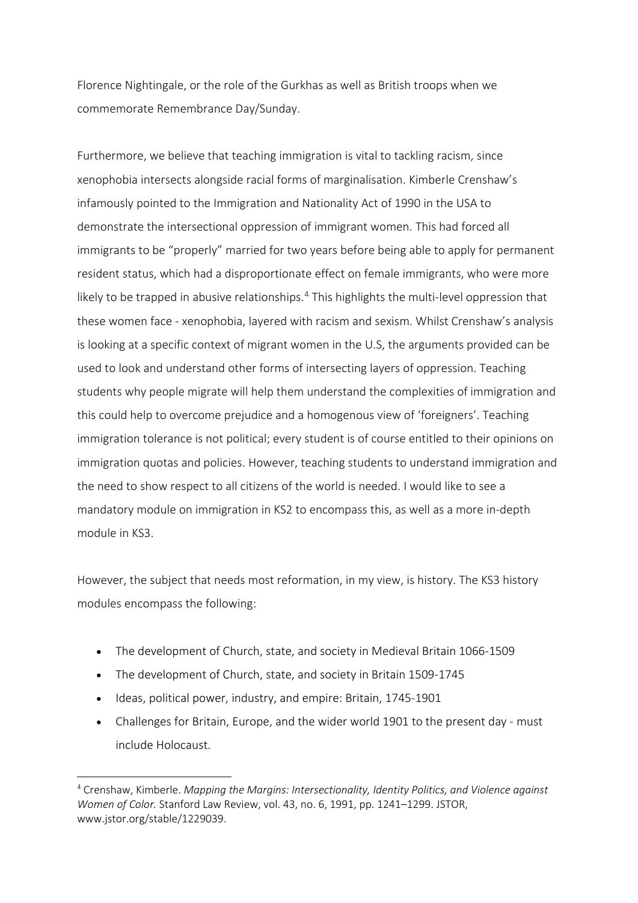Florence Nightingale, or the role of the Gurkhas as well as British troops when we commemorate Remembrance Day/Sunday.

Furthermore, we believe that teaching immigration is vital to tackling racism, since xenophobia intersects alongside racial forms of marginalisation. Kimberle Crenshaw's infamously pointed to the Immigration and Nationality Act of 1990 in the USA to demonstrate the intersectional oppression of immigrant women. This had forced all immigrants to be "properly" married for two years before being able to apply for permanent resident status, which had a disproportionate effect on female immigrants, who were more likely to be trapped in abusive relationships.<sup>[4](#page-1-0)</sup> This highlights the multi-level oppression that these women face - xenophobia, layered with racism and sexism. Whilst Crenshaw's analysis is looking at a specific context of migrant women in the U.S, the arguments provided can be used to look and understand other forms of intersecting layers of oppression. Teaching students why people migrate will help them understand the complexities of immigration and this could help to overcome prejudice and a homogenous view of 'foreigners'. Teaching immigration tolerance is not political; every student is of course entitled to their opinions on immigration quotas and policies. However, teaching students to understand immigration and the need to show respect to all citizens of the world is needed. I would like to see a mandatory module on immigration in KS2 to encompass this, as well as a more in-depth module in KS3.

However, the subject that needs most reformation, in my view, is history. The KS3 history modules encompass the following:

- The development of Church, state, and society in Medieval Britain 1066-1509
- The development of Church, state, and society in Britain 1509-1745
- Ideas, political power, industry, and empire: Britain, 1745-1901
- Challenges for Britain, Europe, and the wider world 1901 to the present day must include Holocaust.

<span id="page-1-0"></span><sup>4</sup> Crenshaw, Kimberle. *Mapping the Margins: Intersectionality, Identity Politics, and Violence against Women of Color.* Stanford Law Review, vol. 43, no. 6, 1991, pp. 1241–1299. JSTOR, www.jstor.org/stable/1229039.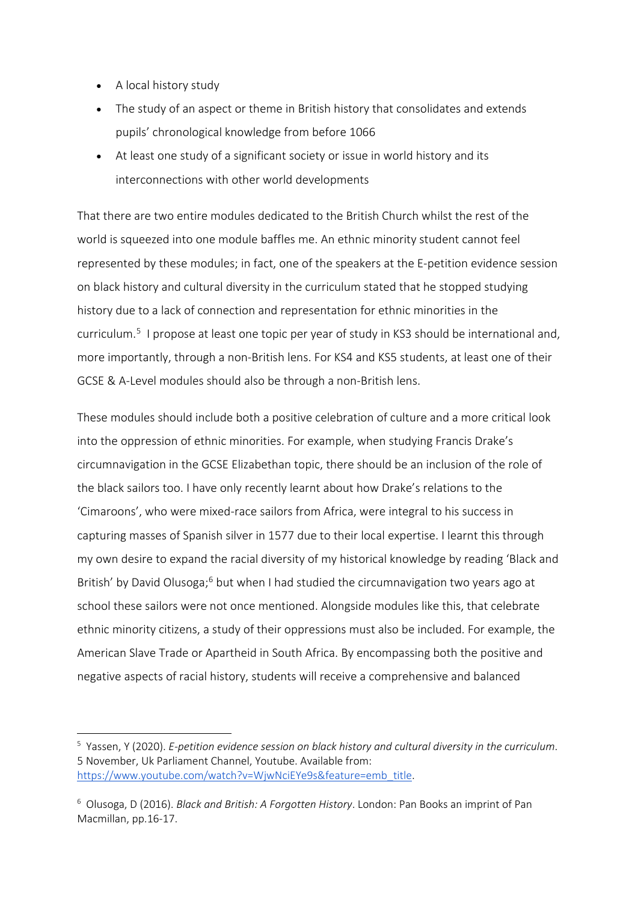- A local history study
- The study of an aspect or theme in British history that consolidates and extends pupils' chronological knowledge from before 1066
- At least one study of a significant society or issue in world history and its interconnections with other world developments

That there are two entire modules dedicated to the British Church whilst the rest of the world is squeezed into one module baffles me. An ethnic minority student cannot feel represented by these modules; in fact, one of the speakers at the E-petition evidence session on black history and cultural diversity in the curriculum stated that he stopped studying history due to a lack of connection and representation for ethnic minorities in the curriculum.<sup>[5](#page-2-0)</sup> I propose at least one topic per year of study in KS3 should be international and, more importantly, through a non-British lens. For KS4 and KS5 students, at least one of their GCSE & A-Level modules should also be through a non-British lens.

These modules should include both a positive celebration of culture and a more critical look into the oppression of ethnic minorities. For example, when studying Francis Drake's circumnavigation in the GCSE Elizabethan topic, there should be an inclusion of the role of the black sailors too. I have only recently learnt about how Drake's relations to the 'Cimaroons', who were mixed-race sailors from Africa, were integral to his success in capturing masses of Spanish silver in 1577 due to their local expertise. I learnt this through my own desire to expand the racial diversity of my historical knowledge by reading 'Black and British' by David Olusoga;<sup>[6](#page-2-1)</sup> but when I had studied the circumnavigation two years ago at school these sailors were not once mentioned. Alongside modules like this, that celebrate ethnic minority citizens, a study of their oppressions must also be included. For example, the American Slave Trade or Apartheid in South Africa. By encompassing both the positive and negative aspects of racial history, students will receive a comprehensive and balanced

<span id="page-2-0"></span><sup>5</sup> Yassen, Y (2020). *E-petition evidence session on black history and cultural diversity in the curriculum*. 5 November, Uk Parliament Channel, Youtube. Available from: [https://www.youtube.com/watch?v=WjwNciEYe9s&feature=emb\\_title.](https://www.youtube.com/watch?v=WjwNciEYe9s&feature=emb_title)

<span id="page-2-1"></span><sup>6</sup> Olusoga, D (2016). *Black and British: A Forgotten History*. London: Pan Books an imprint of Pan Macmillan, pp.16-17.